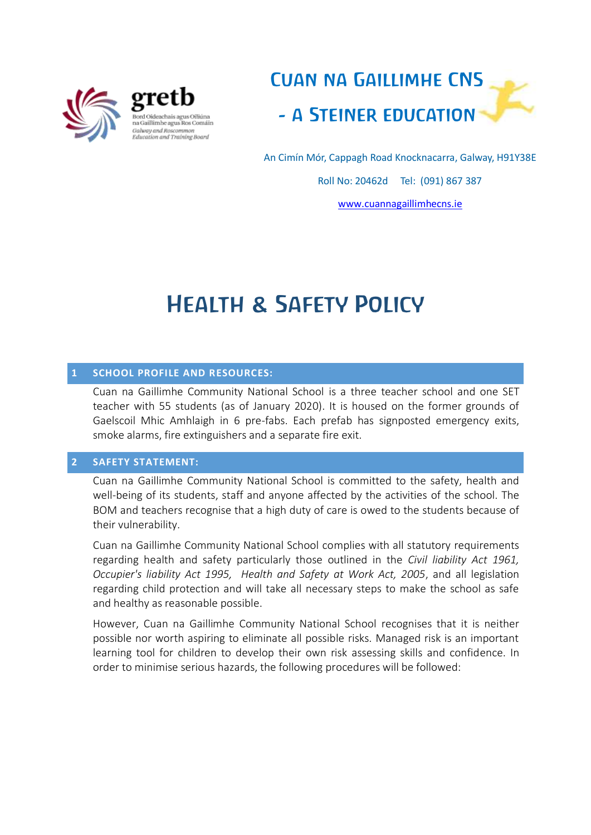

gretb seus Oiliúna na Gaillimhe agus Ros Comáin Galway and Roscommon<br>Education and Training Board



An Cimín Mór, Cappagh Road Knocknacarra, Galway, H91Y38E

Roll No: 20462d Tel: (091) 867 387

[www.cuannagaillimhecns.ie](http://www.cuannagaillimhecns.ie/)

# Health & Safety Policy

## **1 SCHOOL PROFILE AND RESOURCES:**

Cuan na Gaillimhe Community National School is a three teacher school and one SET teacher with 55 students (as of January 2020). It is housed on the former grounds of Gaelscoil Mhic Amhlaigh in 6 pre-fabs. Each prefab has signposted emergency exits, smoke alarms, fire extinguishers and a separate fire exit.

## **2 SAFETY STATEMENT:**

Cuan na Gaillimhe Community National School is committed to the safety, health and well-being of its students, staff and anyone affected by the activities of the school. The BOM and teachers recognise that a high duty of care is owed to the students because of their vulnerability.

Cuan na Gaillimhe Community National School complies with all statutory requirements regarding health and safety particularly those outlined in the *Civil liability Act 1961, Occupier's liability Act 1995, Health and Safety at Work Act, 2005*, and all legislation regarding child protection and will take all necessary steps to make the school as safe and healthy as reasonable possible.

However, Cuan na Gaillimhe Community National School recognises that it is neither possible nor worth aspiring to eliminate all possible risks. Managed risk is an important learning tool for children to develop their own risk assessing skills and confidence. In order to minimise serious hazards, the following procedures will be followed: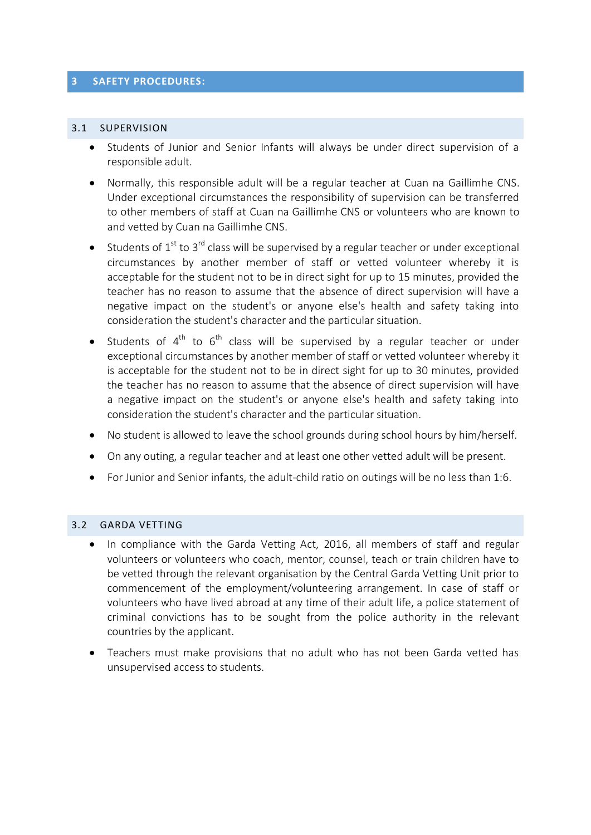#### **3 SAFETY PROCEDURES:**

#### 3.1 SUPERVISION

- Students of Junior and Senior Infants will always be under direct supervision of a responsible adult.
- Normally, this responsible adult will be a regular teacher at Cuan na Gaillimhe CNS. Under exceptional circumstances the responsibility of supervision can be transferred to other members of staff at Cuan na Gaillimhe CNS or volunteers who are known to and vetted by Cuan na Gaillimhe CNS.
- $\bullet$  Students of 1<sup>st</sup> to 3<sup>rd</sup> class will be supervised by a regular teacher or under exceptional circumstances by another member of staff or vetted volunteer whereby it is acceptable for the student not to be in direct sight for up to 15 minutes, provided the teacher has no reason to assume that the absence of direct supervision will have a negative impact on the student's or anyone else's health and safety taking into consideration the student's character and the particular situation.
- Students of  $4^{\text{th}}$  to  $6^{\text{th}}$  class will be supervised by a regular teacher or under exceptional circumstances by another member of staff or vetted volunteer whereby it is acceptable for the student not to be in direct sight for up to 30 minutes, provided the teacher has no reason to assume that the absence of direct supervision will have a negative impact on the student's or anyone else's health and safety taking into consideration the student's character and the particular situation.
- No student is allowed to leave the school grounds during school hours by him/herself.
- On any outing, a regular teacher and at least one other vetted adult will be present.
- For Junior and Senior infants, the adult-child ratio on outings will be no less than 1:6.

## 3.2 GARDA VETTING

- In compliance with the Garda Vetting Act, 2016, all members of staff and regular volunteers or volunteers who coach, mentor, counsel, teach or train children have to be vetted through the relevant organisation by the Central Garda Vetting Unit prior to commencement of the employment/volunteering arrangement. In case of staff or volunteers who have lived abroad at any time of their adult life, a police statement of criminal convictions has to be sought from the police authority in the relevant countries by the applicant.
- Teachers must make provisions that no adult who has not been Garda vetted has unsupervised access to students.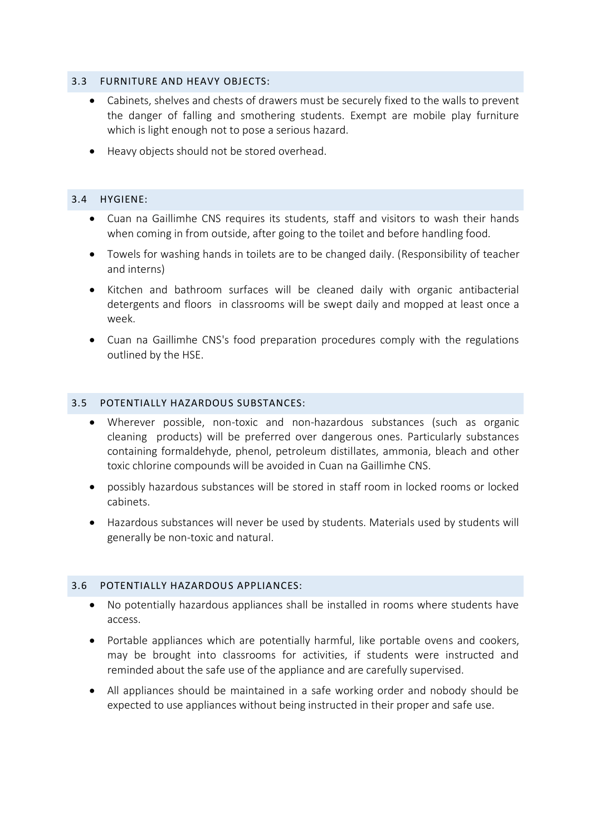## 3.3 FURNITURE AND HEAVY OBJECTS:

- Cabinets, shelves and chests of drawers must be securely fixed to the walls to prevent the danger of falling and smothering students. Exempt are mobile play furniture which is light enough not to pose a serious hazard.
- Heavy objects should not be stored overhead.

# 3.4 HYGIENE:

- Cuan na Gaillimhe CNS requires its students, staff and visitors to wash their hands when coming in from outside, after going to the toilet and before handling food*.*
- Towels for washing hands in toilets are to be changed daily. (Responsibility of teacher and interns)
- Kitchen and bathroom surfaces will be cleaned daily with organic antibacterial detergents and floors in classrooms will be swept daily and mopped at least once a week.
- Cuan na Gaillimhe CNS's food preparation procedures comply with the regulations outlined by the HSE.

# 3.5 POTENTIALLY HAZARDOUS SUBSTANCES:

- Wherever possible, non-toxic and non-hazardous substances (such as organic cleaning products) will be preferred over dangerous ones. Particularly substances containing formaldehyde, phenol, petroleum distillates, ammonia, bleach and other toxic chlorine compounds will be avoided in Cuan na Gaillimhe CNS.
- possibly hazardous substances will be stored in staff room in locked rooms or locked cabinets.
- Hazardous substances will never be used by students. Materials used by students will generally be non-toxic and natural.

## 3.6 POTENTIALLY HAZARDOUS APPLIANCES:

- No potentially hazardous appliances shall be installed in rooms where students have access.
- Portable appliances which are potentially harmful, like portable ovens and cookers, may be brought into classrooms for activities, if students were instructed and reminded about the safe use of the appliance and are carefully supervised.
- All appliances should be maintained in a safe working order and nobody should be expected to use appliances without being instructed in their proper and safe use.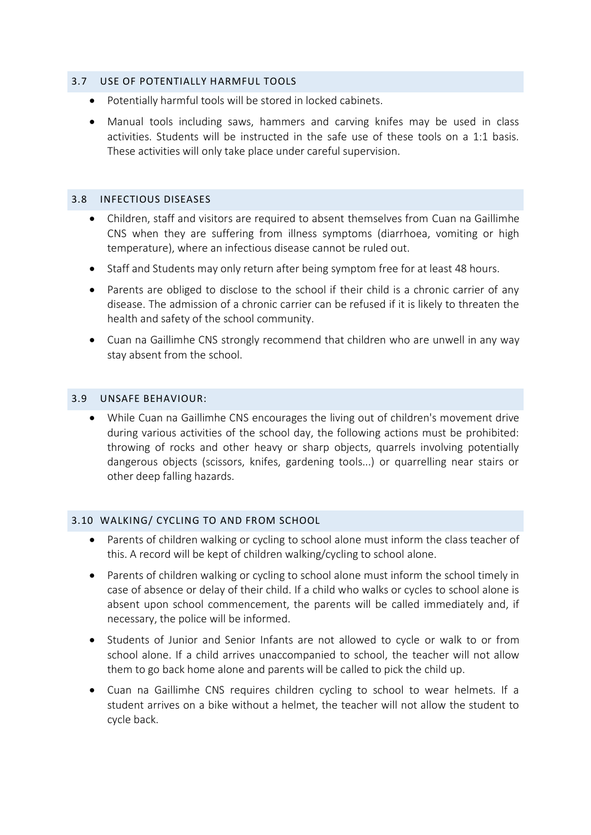#### 3.7 USE OF POTENTIALLY HARMFUL TOOLS

- Potentially harmful tools will be stored in locked cabinets.
- Manual tools including saws, hammers and carving knifes may be used in class activities. Students will be instructed in the safe use of these tools on a 1:1 basis. These activities will only take place under careful supervision.

#### 3.8 INFECTIOUS DISEASES

- Children, staff and visitors are required to absent themselves from Cuan na Gaillimhe CNS when they are suffering from illness symptoms (diarrhoea, vomiting or high temperature), where an infectious disease cannot be ruled out.
- Staff and Students may only return after being symptom free for at least 48 hours.
- Parents are obliged to disclose to the school if their child is a chronic carrier of any disease. The admission of a chronic carrier can be refused if it is likely to threaten the health and safety of the school community.
- Cuan na Gaillimhe CNS strongly recommend that children who are unwell in any way stay absent from the school.

#### 3.9 UNSAFE BEHAVIOUR:

 While Cuan na Gaillimhe CNS encourages the living out of children's movement drive during various activities of the school day, the following actions must be prohibited: throwing of rocks and other heavy or sharp objects, quarrels involving potentially dangerous objects (scissors, knifes, gardening tools...) or quarrelling near stairs or other deep falling hazards.

## 3.10 WALKING/ CYCLING TO AND FROM SCHOOL

- Parents of children walking or cycling to school alone must inform the class teacher of this. A record will be kept of children walking/cycling to school alone.
- Parents of children walking or cycling to school alone must inform the school timely in case of absence or delay of their child. If a child who walks or cycles to school alone is absent upon school commencement, the parents will be called immediately and, if necessary, the police will be informed.
- Students of Junior and Senior Infants are not allowed to cycle or walk to or from school alone. If a child arrives unaccompanied to school, the teacher will not allow them to go back home alone and parents will be called to pick the child up.
- Cuan na Gaillimhe CNS requires children cycling to school to wear helmets. If a student arrives on a bike without a helmet, the teacher will not allow the student to cycle back.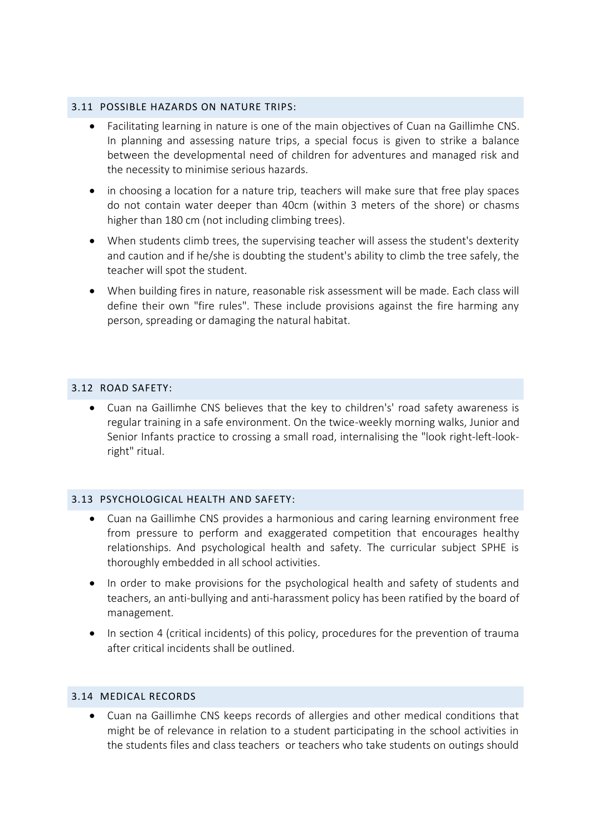#### 3.11 POSSIBLE HAZARDS ON NATURE TRIPS:

- Facilitating learning in nature is one of the main objectives of Cuan na Gaillimhe CNS. In planning and assessing nature trips, a special focus is given to strike a balance between the developmental need of children for adventures and managed risk and the necessity to minimise serious hazards.
- in choosing a location for a nature trip, teachers will make sure that free play spaces do not contain water deeper than 40cm (within 3 meters of the shore) or chasms higher than 180 cm (not including climbing trees).
- When students climb trees, the supervising teacher will assess the student's dexterity and caution and if he/she is doubting the student's ability to climb the tree safely, the teacher will spot the student.
- When building fires in nature, reasonable risk assessment will be made. Each class will define their own "fire rules". These include provisions against the fire harming any person, spreading or damaging the natural habitat.

# 3.12 ROAD SAFETY:

 Cuan na Gaillimhe CNS believes that the key to children's' road safety awareness is regular training in a safe environment. On the twice-weekly morning walks, Junior and Senior Infants practice to crossing a small road, internalising the "look right-left-lookright" ritual.

## 3.13 PSYCHOLOGICAL HEALTH AND SAFETY:

- Cuan na Gaillimhe CNS provides a harmonious and caring learning environment free from pressure to perform and exaggerated competition that encourages healthy relationships. And psychological health and safety. The curricular subject SPHE is thoroughly embedded in all school activities.
- In order to make provisions for the psychological health and safety of students and teachers, an anti-bullying and anti-harassment policy has been ratified by the board of management.
- In section 4 (critical incidents) of this policy, procedures for the prevention of trauma after critical incidents shall be outlined.

## 3.14 MEDICAL RECORDS

 Cuan na Gaillimhe CNS keeps records of allergies and other medical conditions that might be of relevance in relation to a student participating in the school activities in the students files and class teachers or teachers who take students on outings should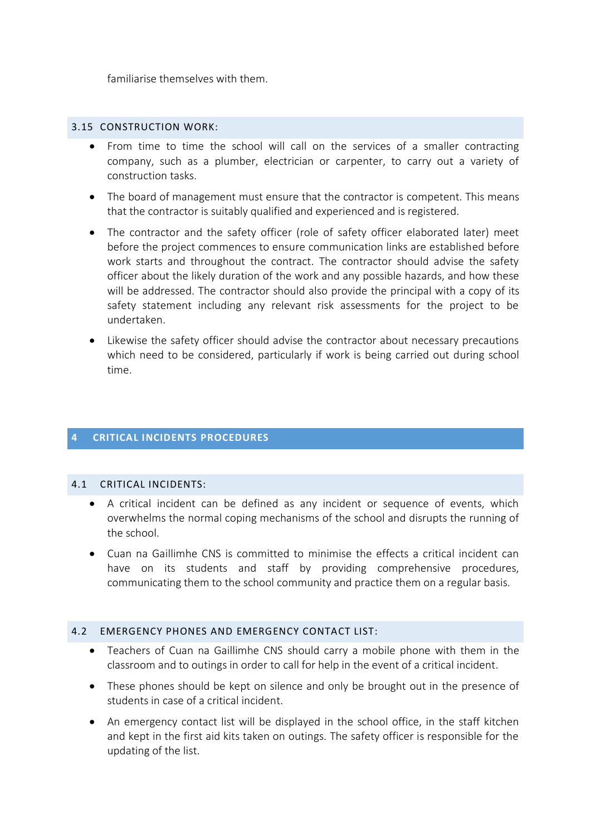familiarise themselves with them.

# 3.15 CONSTRUCTION WORK:

- From time to time the school will call on the services of a smaller contracting company, such as a plumber, electrician or carpenter, to carry out a variety of construction tasks.
- The board of management must ensure that the contractor is competent. This means that the contractor is suitably qualified and experienced and is registered.
- The contractor and the safety officer (role of safety officer elaborated later) meet before the project commences to ensure communication links are established before work starts and throughout the contract. The contractor should advise the safety officer about the likely duration of the work and any possible hazards, and how these will be addressed. The contractor should also provide the principal with a copy of its safety statement including any relevant risk assessments for the project to be undertaken.
- Likewise the safety officer should advise the contractor about necessary precautions which need to be considered, particularly if work is being carried out during school time.

# **4 CRITICAL INCIDENTS PROCEDURES**

## 4.1 CRITICAL INCIDENTS:

- A critical incident can be defined as any incident or sequence of events, which overwhelms the normal coping mechanisms of the school and disrupts the running of the school.
- Cuan na Gaillimhe CNS is committed to minimise the effects a critical incident can have on its students and staff by providing comprehensive procedures, communicating them to the school community and practice them on a regular basis.

#### 4.2 EMERGENCY PHONES AND EMERGENCY CONTACT LIST:

- Teachers of Cuan na Gaillimhe CNS should carry a mobile phone with them in the classroom and to outings in order to call for help in the event of a critical incident.
- These phones should be kept on silence and only be brought out in the presence of students in case of a critical incident.
- An emergency contact list will be displayed in the school office, in the staff kitchen and kept in the first aid kits taken on outings. The safety officer is responsible for the updating of the list.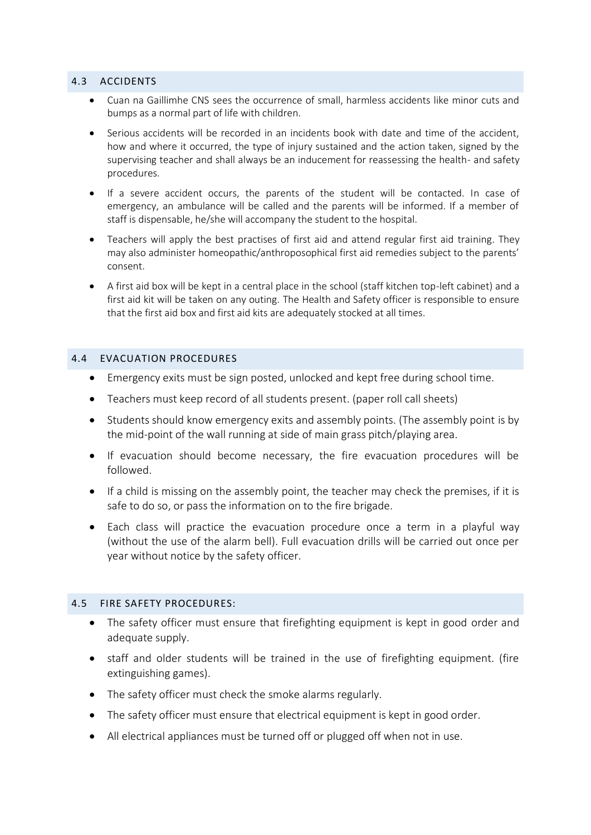#### 4.3 ACCIDENTS

- Cuan na Gaillimhe CNS sees the occurrence of small, harmless accidents like minor cuts and bumps as a normal part of life with children.
- Serious accidents will be recorded in an incidents book with date and time of the accident, how and where it occurred, the type of injury sustained and the action taken, signed by the supervising teacher and shall always be an inducement for reassessing the health- and safety procedures.
- If a severe accident occurs, the parents of the student will be contacted. In case of emergency, an ambulance will be called and the parents will be informed. If a member of staff is dispensable, he/she will accompany the student to the hospital.
- Teachers will apply the best practises of first aid and attend regular first aid training. They may also administer homeopathic/anthroposophical first aid remedies subject to the parents' consent.
- A first aid box will be kept in a central place in the school (staff kitchen top-left cabinet) and a first aid kit will be taken on any outing. The Health and Safety officer is responsible to ensure that the first aid box and first aid kits are adequately stocked at all times.

## 4.4 EVACUATION PROCEDURES

- Emergency exits must be sign posted, unlocked and kept free during school time.
- Teachers must keep record of all students present. (paper roll call sheets)
- Students should know emergency exits and assembly points. (The assembly point is by the mid-point of the wall running at side of main grass pitch/playing area.
- If evacuation should become necessary, the fire evacuation procedures will be followed.
- If a child is missing on the assembly point, the teacher may check the premises, if it is safe to do so, or pass the information on to the fire brigade.
- Each class will practice the evacuation procedure once a term in a playful way (without the use of the alarm bell). Full evacuation drills will be carried out once per year without notice by the safety officer.

## 4.5 FIRE SAFETY PROCEDURES:

- The safety officer must ensure that firefighting equipment is kept in good order and adequate supply.
- staff and older students will be trained in the use of firefighting equipment. (fire extinguishing games).
- The safety officer must check the smoke alarms regularly.
- The safety officer must ensure that electrical equipment is kept in good order.
- All electrical appliances must be turned off or plugged off when not in use.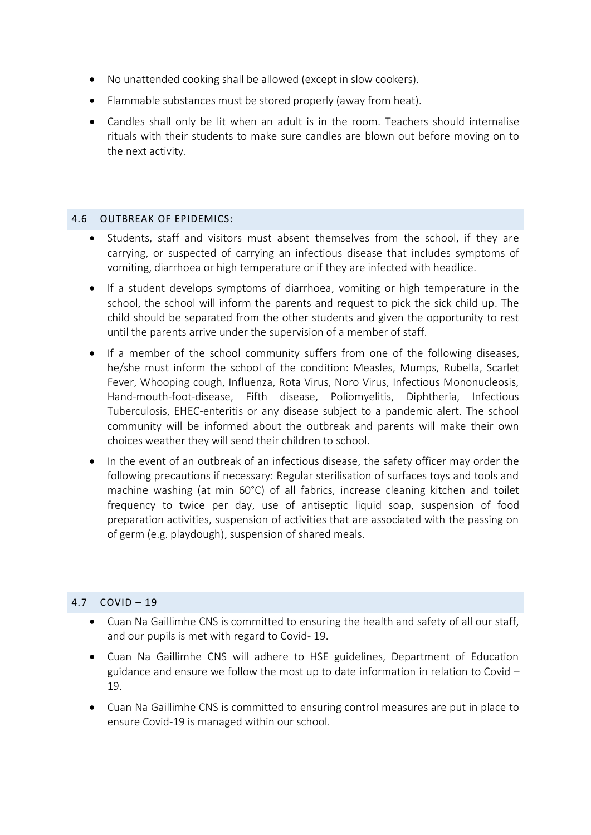- No unattended cooking shall be allowed (except in slow cookers).
- Flammable substances must be stored properly (away from heat).
- Candles shall only be lit when an adult is in the room. Teachers should internalise rituals with their students to make sure candles are blown out before moving on to the next activity.

# 4.6 OUTBREAK OF EPIDEMICS:

- Students, staff and visitors must absent themselves from the school, if they are carrying, or suspected of carrying an infectious disease that includes symptoms of vomiting, diarrhoea or high temperature or if they are infected with headlice.
- If a student develops symptoms of diarrhoea, vomiting or high temperature in the school, the school will inform the parents and request to pick the sick child up. The child should be separated from the other students and given the opportunity to rest until the parents arrive under the supervision of a member of staff.
- If a member of the school community suffers from one of the following diseases, he/she must inform the school of the condition: Measles, Mumps, Rubella, Scarlet Fever, Whooping cough, Influenza, Rota Virus, Noro Virus, Infectious Mononucleosis, Hand-mouth-foot-disease, Fifth disease, Poliomyelitis, Diphtheria, Infectious Tuberculosis, EHEC-enteritis or any disease subject to a pandemic alert. The school community will be informed about the outbreak and parents will make their own choices weather they will send their children to school.
- In the event of an outbreak of an infectious disease, the safety officer may order the following precautions if necessary: Regular sterilisation of surfaces toys and tools and machine washing (at min 60°C) of all fabrics, increase cleaning kitchen and toilet frequency to twice per day, use of antiseptic liquid soap, suspension of food preparation activities, suspension of activities that are associated with the passing on of germ (e.g. playdough), suspension of shared meals.

# 4.7 COVID – 19

- Cuan Na Gaillimhe CNS is committed to ensuring the health and safety of all our staff, and our pupils is met with regard to Covid- 19.
- Cuan Na Gaillimhe CNS will adhere to HSE guidelines, Department of Education guidance and ensure we follow the most up to date information in relation to Covid – 19.
- Cuan Na Gaillimhe CNS is committed to ensuring control measures are put in place to ensure Covid-19 is managed within our school.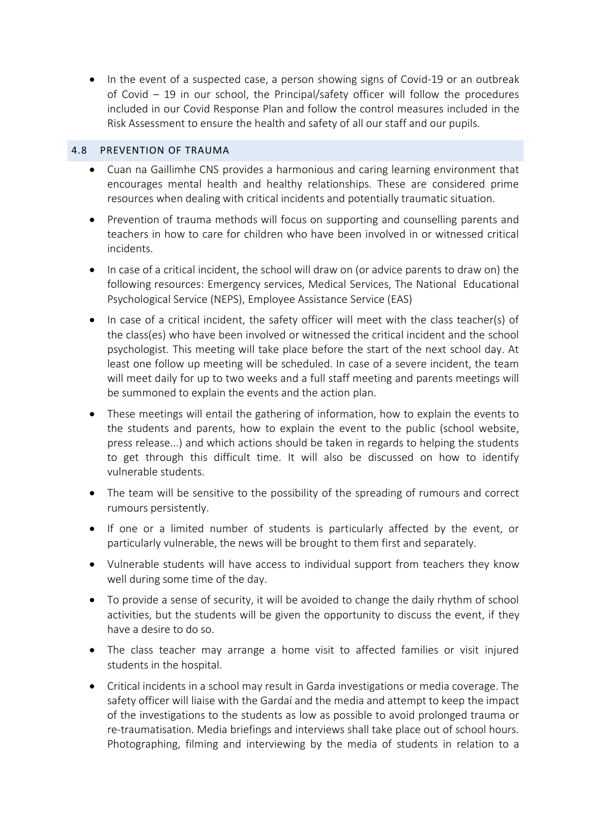• In the event of a suspected case, a person showing signs of Covid-19 or an outbreak of Covid – 19 in our school, the Principal/safety officer will follow the procedures included in our Covid Response Plan and follow the control measures included in the Risk Assessment to ensure the health and safety of all our staff and our pupils.

# 4.8 PREVENTION OF TRAUMA

- Cuan na Gaillimhe CNS provides a harmonious and caring learning environment that encourages mental health and healthy relationships. These are considered prime resources when dealing with critical incidents and potentially traumatic situation.
- Prevention of trauma methods will focus on supporting and counselling parents and teachers in how to care for children who have been involved in or witnessed critical incidents.
- In case of a critical incident, the school will draw on (or advice parents to draw on) the following resources: Emergency services, Medical Services, The National Educational Psychological Service (NEPS), Employee Assistance Service (EAS)
- In case of a critical incident, the safety officer will meet with the class teacher(s) of the class(es) who have been involved or witnessed the critical incident and the school psychologist. This meeting will take place before the start of the next school day. At least one follow up meeting will be scheduled. In case of a severe incident, the team will meet daily for up to two weeks and a full staff meeting and parents meetings will be summoned to explain the events and the action plan.
- These meetings will entail the gathering of information, how to explain the events to the students and parents, how to explain the event to the public (school website, press release...) and which actions should be taken in regards to helping the students to get through this difficult time. It will also be discussed on how to identify vulnerable students.
- The team will be sensitive to the possibility of the spreading of rumours and correct rumours persistently.
- If one or a limited number of students is particularly affected by the event, or particularly vulnerable, the news will be brought to them first and separately.
- Vulnerable students will have access to individual support from teachers they know well during some time of the day.
- To provide a sense of security, it will be avoided to change the daily rhythm of school activities, but the students will be given the opportunity to discuss the event, if they have a desire to do so.
- The class teacher may arrange a home visit to affected families or visit injured students in the hospital.
- Critical incidents in a school may result in Garda investigations or media coverage. The safety officer will liaise with the Gardaí and the media and attempt to keep the impact of the investigations to the students as low as possible to avoid prolonged trauma or re-traumatisation. Media briefings and interviews shall take place out of school hours. Photographing, filming and interviewing by the media of students in relation to a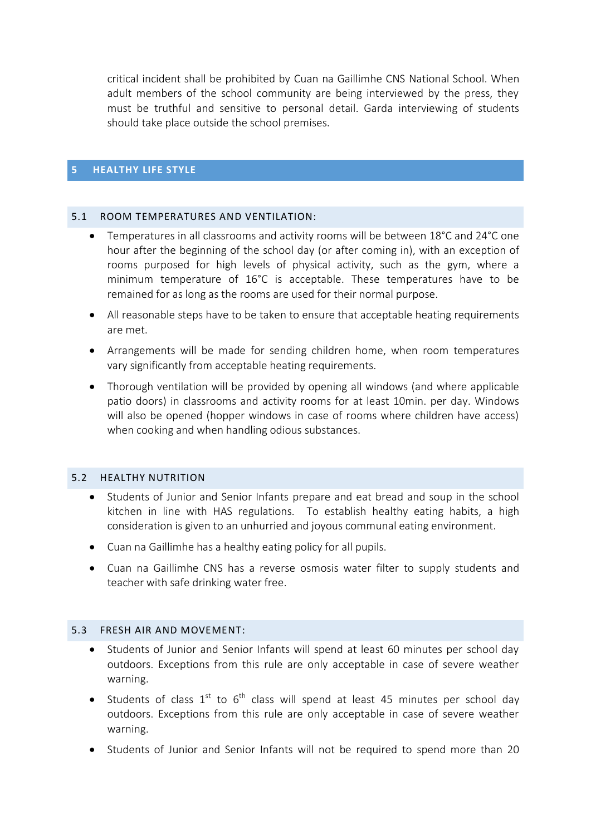critical incident shall be prohibited by Cuan na Gaillimhe CNS National School. When adult members of the school community are being interviewed by the press, they must be truthful and sensitive to personal detail. Garda interviewing of students should take place outside the school premises.

## **5 HEALTHY LIFE STYLE**

#### 5.1 ROOM TEMPERATURES AND VENTILATION:

- Temperatures in all classrooms and activity rooms will be between 18°C and 24°C one hour after the beginning of the school day (or after coming in), with an exception of rooms purposed for high levels of physical activity, such as the gym, where a minimum temperature of 16°C is acceptable. These temperatures have to be remained for as long as the rooms are used for their normal purpose.
- All reasonable steps have to be taken to ensure that acceptable heating requirements are met.
- Arrangements will be made for sending children home, when room temperatures vary significantly from acceptable heating requirements.
- Thorough ventilation will be provided by opening all windows (and where applicable patio doors) in classrooms and activity rooms for at least 10min. per day. Windows will also be opened (hopper windows in case of rooms where children have access) when cooking and when handling odious substances.

#### 5.2 HEALTHY NUTRITION

- Students of Junior and Senior Infants prepare and eat bread and soup in the school kitchen in line with HAS regulations. To establish healthy eating habits, a high consideration is given to an unhurried and joyous communal eating environment.
- Cuan na Gaillimhe has a healthy eating policy for all pupils.
- Cuan na Gaillimhe CNS has a reverse osmosis water filter to supply students and teacher with safe drinking water free.

## 5.3 FRESH AIR AND MOVEMENT:

- Students of Junior and Senior Infants will spend at least 60 minutes per school day outdoors. Exceptions from this rule are only acceptable in case of severe weather warning.
- Students of class  $1^{st}$  to  $6^{th}$  class will spend at least 45 minutes per school day outdoors. Exceptions from this rule are only acceptable in case of severe weather warning.
- Students of Junior and Senior Infants will not be required to spend more than 20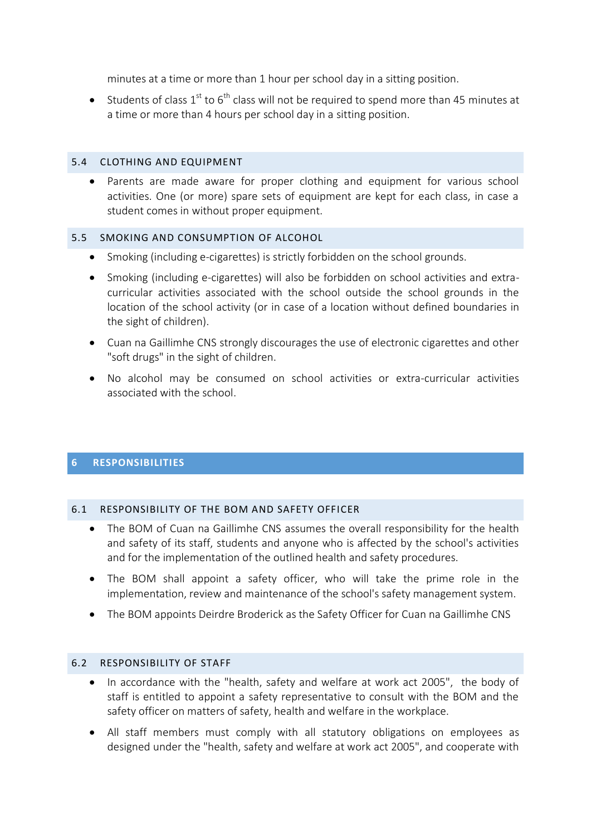minutes at a time or more than 1 hour per school day in a sitting position.

• Students of class  $1^{st}$  to  $6^{th}$  class will not be required to spend more than 45 minutes at a time or more than 4 hours per school day in a sitting position.

## 5.4 CLOTHING AND EQUIPMENT

 Parents are made aware for proper clothing and equipment for various school activities. One (or more) spare sets of equipment are kept for each class, in case a student comes in without proper equipment.

# 5.5 SMOKING AND CONSUMPTION OF ALCOHOL

- Smoking (including e-cigarettes) is strictly forbidden on the school grounds.
- Smoking (including e-cigarettes) will also be forbidden on school activities and extracurricular activities associated with the school outside the school grounds in the location of the school activity (or in case of a location without defined boundaries in the sight of children).
- Cuan na Gaillimhe CNS strongly discourages the use of electronic cigarettes and other "soft drugs" in the sight of children.
- No alcohol may be consumed on school activities or extra-curricular activities associated with the school.

# **6 RESPONSIBILITIES**

## 6.1 RESPONSIBILITY OF THE BOM AND SAFETY OFFICER

- The BOM of Cuan na Gaillimhe CNS assumes the overall responsibility for the health and safety of its staff, students and anyone who is affected by the school's activities and for the implementation of the outlined health and safety procedures.
- The BOM shall appoint a safety officer, who will take the prime role in the implementation, review and maintenance of the school's safety management system.
- The BOM appoints Deirdre Broderick as the Safety Officer for Cuan na Gaillimhe CNS

## 6.2 RESPONSIBILITY OF STAFF

- In accordance with the "health, safety and welfare at work act 2005", the body of staff is entitled to appoint a safety representative to consult with the BOM and the safety officer on matters of safety, health and welfare in the workplace.
- All staff members must comply with all statutory obligations on employees as designed under the "health, safety and welfare at work act 2005", and cooperate with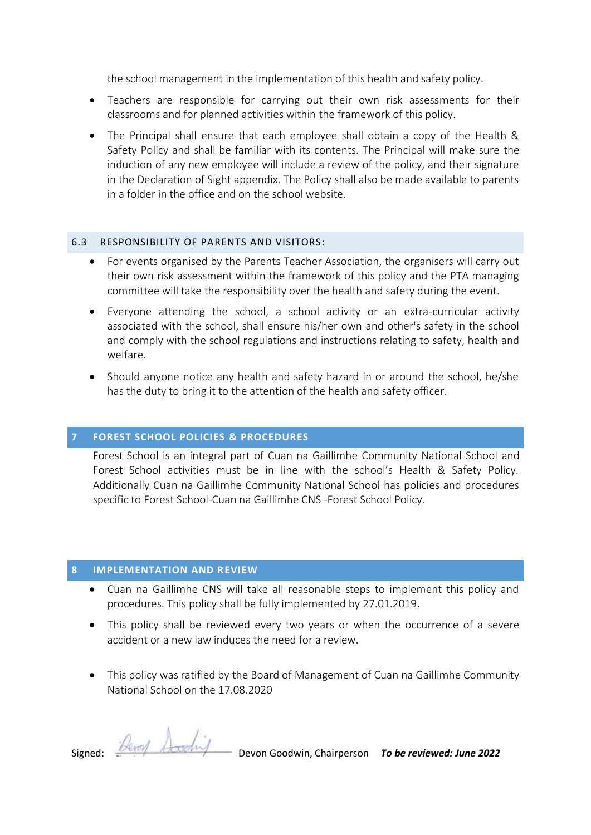the school management in the implementation of this health and safety policy.

- Teachers are responsible for carrying out their own risk assessments for their classrooms and for planned activities within the framework of this policy.
- The Principal shall ensure that each employee shall obtain a copy of the Health & Safety Policy and shall be familiar with its contents. The Principal will make sure the induction of any new employee will include a review of the policy, and their signature in the Declaration of Sight appendix. The Policy shall also be made available to parents in a folder in the office and on the school website.

## 6.3 RESPONSIBILITY OF PARENTS AND VISITORS:

- For events organised by the Parents Teacher Association, the organisers will carry out their own risk assessment within the framework of this policy and the PTA managing committee will take the responsibility over the health and safety during the event.
- Everyone attending the school, a school activity or an extra-curricular activity associated with the school, shall ensure his/her own and other's safety in the school and comply with the school regulations and instructions relating to safety, health and welfare.
- Should anyone notice any health and safety hazard in or around the school, he/she has the duty to bring it to the attention of the health and safety officer.

# **7 FOREST SCHOOL POLICIES & PROCEDURES**

Forest School is an integral part of Cuan na Gaillimhe Community National School and Forest School activities must be in line with the school's Health & Safety Policy. Additionally Cuan na Gaillimhe Community National School has policies and procedures specific to Forest School-Cuan na Gaillimhe CNS -Forest School Policy.

# **8 IMPLEMENTATION AND REVIEW**

- Cuan na Gaillimhe CNS will take all reasonable steps to implement this policy and procedures. This policy shall be fully implemented by 27.01.2019.
- This policy shall be reviewed every two years or when the occurrence of a severe accident or a new law induces the need for a review.
- This policy was ratified by the Board of Management of Cuan na Gaillimhe Community National School on the 17.08.2020

Signed: *Devol* And **Devon Goodwin, Chairperson** *To be reviewed: June 2022*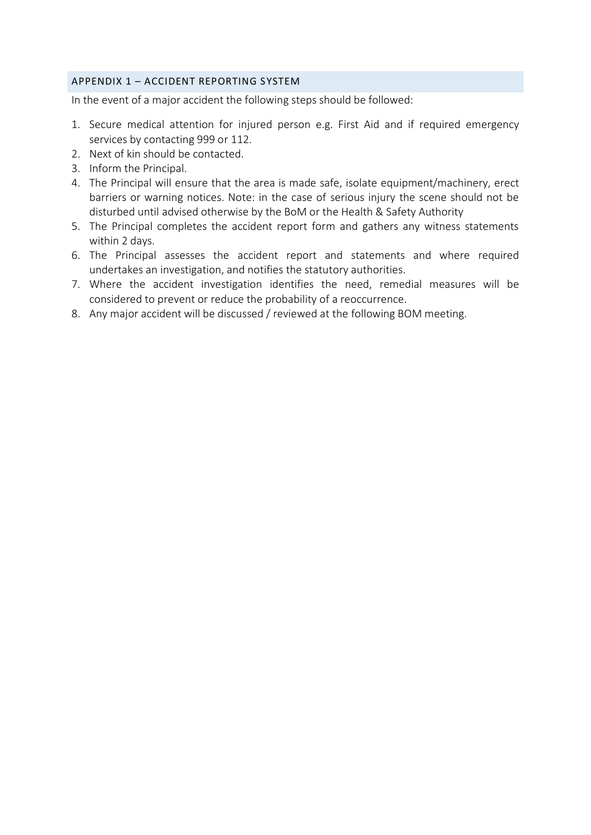## APPENDIX 1 – ACCIDENT REPORTING SYSTEM

In the event of a major accident the following steps should be followed:

- 1. Secure medical attention for injured person e.g. First Aid and if required emergency services by contacting 999 or 112.
- 2. Next of kin should be contacted.
- 3. Inform the Principal.
- 4. The Principal will ensure that the area is made safe, isolate equipment/machinery, erect barriers or warning notices. Note: in the case of serious injury the scene should not be disturbed until advised otherwise by the BoM or the Health & Safety Authority
- 5. The Principal completes the accident report form and gathers any witness statements within 2 days.
- 6. The Principal assesses the accident report and statements and where required undertakes an investigation, and notifies the statutory authorities.
- 7. Where the accident investigation identifies the need, remedial measures will be considered to prevent or reduce the probability of a reoccurrence.
- 8. Any major accident will be discussed / reviewed at the following BOM meeting.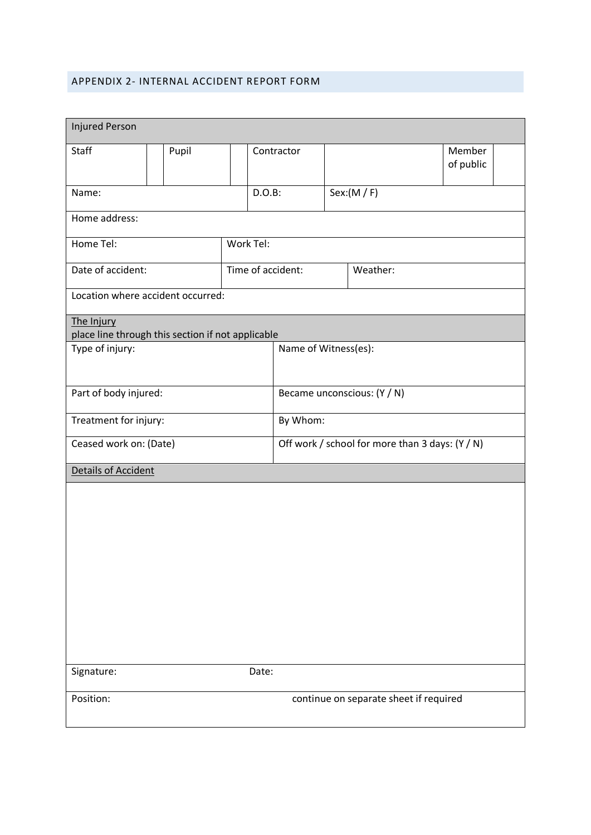#### APPENDIX 2- INTERNAL ACCIDENT REPORT FORM

| <b>Injured Person</b>                                           |       |                   |  |                                                 |          |           |                     |  |
|-----------------------------------------------------------------|-------|-------------------|--|-------------------------------------------------|----------|-----------|---------------------|--|
| Staff                                                           | Pupil |                   |  | Contractor                                      |          |           | Member<br>of public |  |
| Name:                                                           |       | $D.O.B$ :         |  |                                                 |          | Sex:(M/F) |                     |  |
| Home address:                                                   |       |                   |  |                                                 |          |           |                     |  |
| Work Tel:<br>Home Tel:                                          |       |                   |  |                                                 |          |           |                     |  |
| Date of accident:                                               |       | Time of accident: |  |                                                 | Weather: |           |                     |  |
| Location where accident occurred:                               |       |                   |  |                                                 |          |           |                     |  |
| The Injury<br>place line through this section if not applicable |       |                   |  |                                                 |          |           |                     |  |
| Type of injury:                                                 |       |                   |  | Name of Witness(es):                            |          |           |                     |  |
|                                                                 |       |                   |  |                                                 |          |           |                     |  |
| Part of body injured:                                           |       |                   |  | Became unconscious: (Y / N)                     |          |           |                     |  |
| Treatment for injury:                                           |       |                   |  | By Whom:                                        |          |           |                     |  |
| Ceased work on: (Date)                                          |       |                   |  | Off work / school for more than 3 days: (Y / N) |          |           |                     |  |
| <b>Details of Accident</b>                                      |       |                   |  |                                                 |          |           |                     |  |
|                                                                 |       |                   |  |                                                 |          |           |                     |  |
|                                                                 |       |                   |  |                                                 |          |           |                     |  |
|                                                                 |       |                   |  |                                                 |          |           |                     |  |
|                                                                 |       |                   |  |                                                 |          |           |                     |  |
|                                                                 |       |                   |  |                                                 |          |           |                     |  |
|                                                                 |       |                   |  |                                                 |          |           |                     |  |
|                                                                 |       |                   |  |                                                 |          |           |                     |  |
| Signature:                                                      | Date: |                   |  |                                                 |          |           |                     |  |
| continue on separate sheet if required<br>Position:             |       |                   |  |                                                 |          |           |                     |  |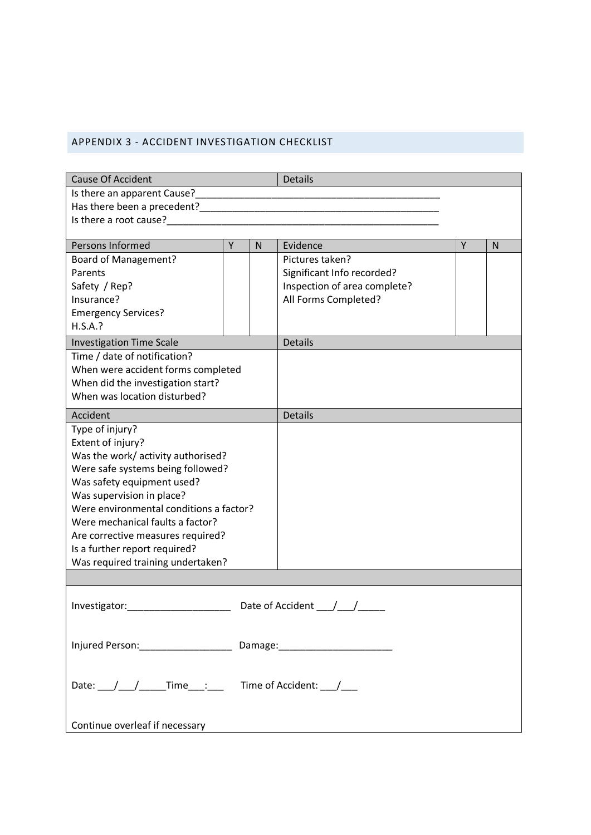# APPENDIX 3 - ACCIDENT INVESTIGATION CHECKLIST

| <b>Cause Of Accident</b>                                                                                                                                                                                                                                                                                                                                                                                         |                |              | <b>Details</b>               |   |              |  |  |
|------------------------------------------------------------------------------------------------------------------------------------------------------------------------------------------------------------------------------------------------------------------------------------------------------------------------------------------------------------------------------------------------------------------|----------------|--------------|------------------------------|---|--------------|--|--|
| Is there an apparent Cause?                                                                                                                                                                                                                                                                                                                                                                                      |                |              |                              |   |              |  |  |
|                                                                                                                                                                                                                                                                                                                                                                                                                  |                |              |                              |   |              |  |  |
| Is there a root cause? The contract of the contract of the contract of the contract of the contract of the contract of the contract of the contract of the contract of the contract of the contract of the contract of the con                                                                                                                                                                                   |                |              |                              |   |              |  |  |
|                                                                                                                                                                                                                                                                                                                                                                                                                  |                |              |                              |   |              |  |  |
| Persons Informed                                                                                                                                                                                                                                                                                                                                                                                                 | $\overline{Y}$ | $\mathsf{N}$ | Evidence                     | Y | $\mathsf{N}$ |  |  |
| <b>Board of Management?</b>                                                                                                                                                                                                                                                                                                                                                                                      |                |              | Pictures taken?              |   |              |  |  |
| Parents                                                                                                                                                                                                                                                                                                                                                                                                          |                |              | Significant Info recorded?   |   |              |  |  |
| Safety / Rep?                                                                                                                                                                                                                                                                                                                                                                                                    |                |              | Inspection of area complete? |   |              |  |  |
| Insurance?                                                                                                                                                                                                                                                                                                                                                                                                       |                |              | All Forms Completed?         |   |              |  |  |
| <b>Emergency Services?</b>                                                                                                                                                                                                                                                                                                                                                                                       |                |              |                              |   |              |  |  |
| H.S.A.?                                                                                                                                                                                                                                                                                                                                                                                                          |                |              |                              |   |              |  |  |
| <b>Investigation Time Scale</b>                                                                                                                                                                                                                                                                                                                                                                                  |                |              | <b>Details</b>               |   |              |  |  |
| Time / date of notification?                                                                                                                                                                                                                                                                                                                                                                                     |                |              |                              |   |              |  |  |
| When were accident forms completed                                                                                                                                                                                                                                                                                                                                                                               |                |              |                              |   |              |  |  |
| When did the investigation start?                                                                                                                                                                                                                                                                                                                                                                                |                |              |                              |   |              |  |  |
| When was location disturbed?                                                                                                                                                                                                                                                                                                                                                                                     |                |              |                              |   |              |  |  |
| Accident                                                                                                                                                                                                                                                                                                                                                                                                         |                |              | <b>Details</b>               |   |              |  |  |
| Type of injury?                                                                                                                                                                                                                                                                                                                                                                                                  |                |              |                              |   |              |  |  |
| Extent of injury?                                                                                                                                                                                                                                                                                                                                                                                                |                |              |                              |   |              |  |  |
| Was the work/ activity authorised?                                                                                                                                                                                                                                                                                                                                                                               |                |              |                              |   |              |  |  |
| Were safe systems being followed?                                                                                                                                                                                                                                                                                                                                                                                |                |              |                              |   |              |  |  |
| Was safety equipment used?                                                                                                                                                                                                                                                                                                                                                                                       |                |              |                              |   |              |  |  |
| Was supervision in place?                                                                                                                                                                                                                                                                                                                                                                                        |                |              |                              |   |              |  |  |
| Were environmental conditions a factor?                                                                                                                                                                                                                                                                                                                                                                          |                |              |                              |   |              |  |  |
| Were mechanical faults a factor?                                                                                                                                                                                                                                                                                                                                                                                 |                |              |                              |   |              |  |  |
| Are corrective measures required?                                                                                                                                                                                                                                                                                                                                                                                |                |              |                              |   |              |  |  |
| Is a further report required?                                                                                                                                                                                                                                                                                                                                                                                    |                |              |                              |   |              |  |  |
| Was required training undertaken?                                                                                                                                                                                                                                                                                                                                                                                |                |              |                              |   |              |  |  |
|                                                                                                                                                                                                                                                                                                                                                                                                                  |                |              |                              |   |              |  |  |
|                                                                                                                                                                                                                                                                                                                                                                                                                  |                |              |                              |   |              |  |  |
| Investigator:                                                                                                                                                                                                                                                                                                                                                                                                    |                |              |                              |   |              |  |  |
|                                                                                                                                                                                                                                                                                                                                                                                                                  |                |              |                              |   |              |  |  |
| Injured Person: _______________________ Damage: ________________________________                                                                                                                                                                                                                                                                                                                                 |                |              |                              |   |              |  |  |
|                                                                                                                                                                                                                                                                                                                                                                                                                  |                |              |                              |   |              |  |  |
|                                                                                                                                                                                                                                                                                                                                                                                                                  |                |              |                              |   |              |  |  |
| Date: $\frac{1}{\sqrt{1-\frac{1}{1-\frac{1}{1-\frac{1}{1-\frac{1}{1-\frac{1}{1-\frac{1}{1-\frac{1}{1-\frac{1}{1-\frac{1}{1-\frac{1}{1-\frac{1}{1-\frac{1}{1-\frac{1}{1-\frac{1}{1-\frac{1}{1-\frac{1}{1-\frac{1}{1-\frac{1}{1-\frac{1}{1-\frac{1}{1-\frac{1}{1-\frac{1}{1-\frac{1}{1-\frac{1}{1-\frac{1}{1-\frac{1}{1-\frac{1}{1-\frac{1}{1-\frac{1}{1-\frac{1}{1-\frac{1}{1-\frac{1}{1-\frac{1}{1-\frac{1}{1-\$ |                |              |                              |   |              |  |  |
|                                                                                                                                                                                                                                                                                                                                                                                                                  |                |              |                              |   |              |  |  |
|                                                                                                                                                                                                                                                                                                                                                                                                                  |                |              |                              |   |              |  |  |
| Continue overleaf if necessary                                                                                                                                                                                                                                                                                                                                                                                   |                |              |                              |   |              |  |  |